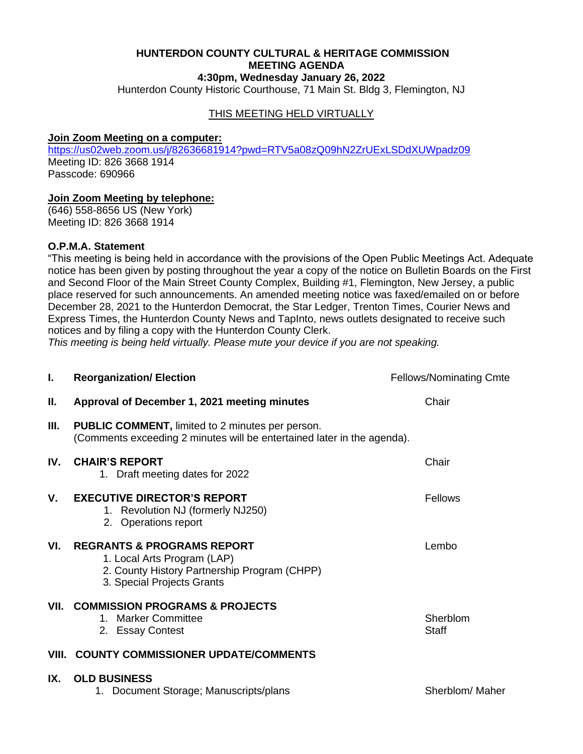#### **HUNTERDON COUNTY CULTURAL & HERITAGE COMMISSION MEETING AGENDA 4:30pm, Wednesday January 26, 2022**

Hunterdon County Historic Courthouse, 71 Main St. Bldg 3, Flemington, NJ

## THIS MEETING HELD VIRTUALLY

#### **Join Zoom Meeting on a computer:**

<https://us02web.zoom.us/j/82636681914?pwd=RTV5a08zQ09hN2ZrUExLSDdXUWpadz09> Meeting ID: 826 3668 1914 Passcode: 690966

### **Join Zoom Meeting by telephone:**

(646) 558-8656 US (New York) Meeting ID: 826 3668 1914

#### **O.P.M.A. Statement**

"This meeting is being held in accordance with the provisions of the Open Public Meetings Act. Adequate notice has been given by posting throughout the year a copy of the notice on Bulletin Boards on the First and Second Floor of the Main Street County Complex, Building #1, Flemington, New Jersey, a public place reserved for such announcements. An amended meeting notice was faxed/emailed on or before December 28, 2021 to the Hunterdon Democrat, the Star Ledger, Trenton Times, Courier News and Express Times, the Hunterdon County News and TapInto, news outlets designated to receive such notices and by filing a copy with the Hunterdon County Clerk.

*This meeting is being held virtually. Please mute your device if you are not speaking.*

| L.  | <b>Reorganization/ Election</b>                                                                                                                    | <b>Fellows/Nominating Cmte</b> |
|-----|----------------------------------------------------------------------------------------------------------------------------------------------------|--------------------------------|
| II. | Approval of December 1, 2021 meeting minutes                                                                                                       | Chair                          |
| Ш.  | <b>PUBLIC COMMENT, limited to 2 minutes per person.</b><br>(Comments exceeding 2 minutes will be entertained later in the agenda).                 |                                |
| IV. | <b>CHAIR'S REPORT</b><br>1. Draft meeting dates for 2022                                                                                           | Chair                          |
| V.  | <b>EXECUTIVE DIRECTOR'S REPORT</b><br>1. Revolution NJ (formerly NJ250)<br>2. Operations report                                                    | Fellows                        |
| VI. | <b>REGRANTS &amp; PROGRAMS REPORT</b><br>1. Local Arts Program (LAP)<br>2. County History Partnership Program (CHPP)<br>3. Special Projects Grants | Lembo                          |
|     | VII. COMMISSION PROGRAMS & PROJECTS<br>1. Marker Committee<br>2. Essay Contest                                                                     | Sherblom<br><b>Staff</b>       |
|     | VIII. COUNTY COMMISSIONER UPDATE/COMMENTS                                                                                                          |                                |
| IX. | <b>OLD BUSINESS</b><br>1. Document Storage; Manuscripts/plans                                                                                      | Sherblom/Maher                 |